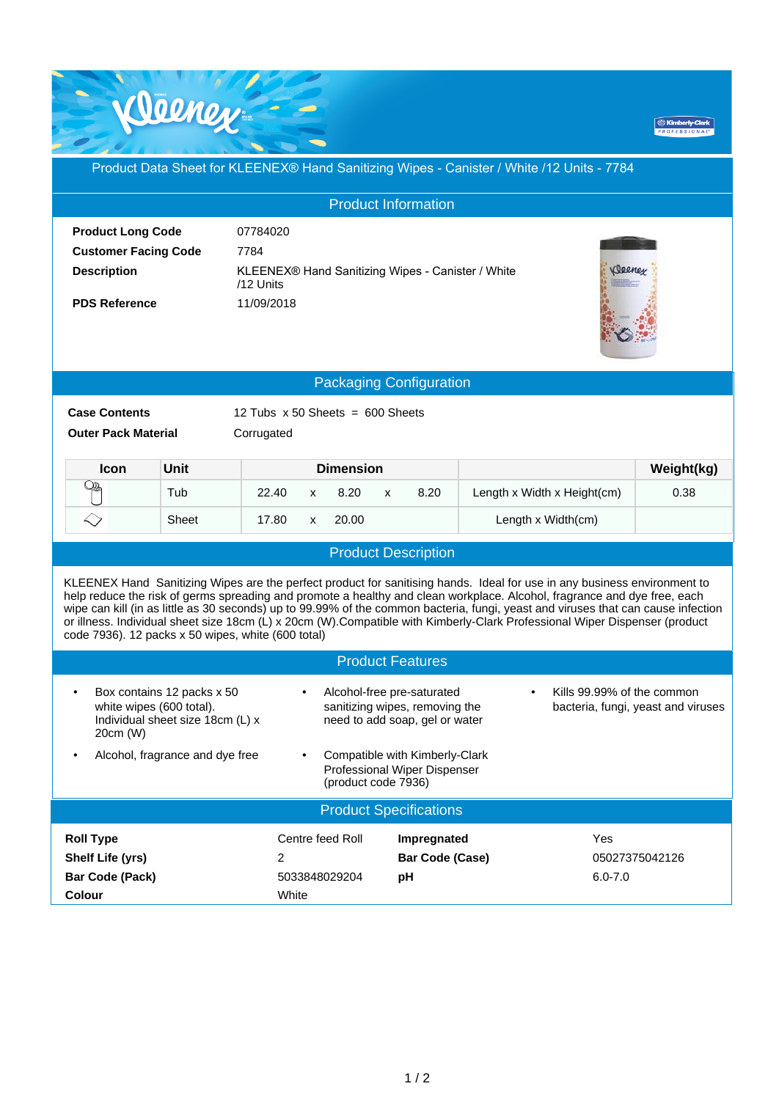

**BK** 

## Product Data Sheet for KLEENEX® Hand Sanitizing Wipes - Canister / White /12 Units - 7784

| <b>Product Information</b>                                                                                                                                                                                                                                                                                                                                                                                                                                                                                                                                                     |       |                                                                                          |                                   |                                      |                             |                |  |  |  |
|--------------------------------------------------------------------------------------------------------------------------------------------------------------------------------------------------------------------------------------------------------------------------------------------------------------------------------------------------------------------------------------------------------------------------------------------------------------------------------------------------------------------------------------------------------------------------------|-------|------------------------------------------------------------------------------------------|-----------------------------------|--------------------------------------|-----------------------------|----------------|--|--|--|
| <b>Product Long Code</b><br><b>Customer Facing Code</b><br>7784<br><b>Description</b><br><b>PDS Reference</b>                                                                                                                                                                                                                                                                                                                                                                                                                                                                  |       | 07784020<br>KLEENEX® Hand Sanitizing Wipes - Canister / White<br>/12 Units<br>11/09/2018 |                                   |                                      |                             |                |  |  |  |
| <b>Packaging Configuration</b>                                                                                                                                                                                                                                                                                                                                                                                                                                                                                                                                                 |       |                                                                                          |                                   |                                      |                             |                |  |  |  |
| <b>Case Contents</b><br>12 Tubs $\times$ 50 Sheets = 600 Sheets<br><b>Outer Pack Material</b><br>Corrugated                                                                                                                                                                                                                                                                                                                                                                                                                                                                    |       |                                                                                          |                                   |                                      |                             |                |  |  |  |
| Icon                                                                                                                                                                                                                                                                                                                                                                                                                                                                                                                                                                           | Unit  |                                                                                          | <b>Dimension</b>                  |                                      |                             | Weight(kg)     |  |  |  |
| Qł                                                                                                                                                                                                                                                                                                                                                                                                                                                                                                                                                                             | Tub   | 22.40                                                                                    | 8.20<br>$\mathsf{x}$              | 8.20<br>X                            | Length x Width x Height(cm) | 0.38           |  |  |  |
| $\leftrightarrow$                                                                                                                                                                                                                                                                                                                                                                                                                                                                                                                                                              | Sheet | 17.80                                                                                    | 20.00<br>X                        |                                      | Length x Width(cm)          |                |  |  |  |
|                                                                                                                                                                                                                                                                                                                                                                                                                                                                                                                                                                                |       |                                                                                          |                                   | <b>Product Description</b>           |                             |                |  |  |  |
| KLEENEX Hand Sanitizing Wipes are the perfect product for sanitising hands. Ideal for use in any business environment to<br>help reduce the risk of germs spreading and promote a healthy and clean workplace. Alcohol, fragrance and dye free, each<br>wipe can kill (in as little as 30 seconds) up to 99.99% of the common bacteria, fungi, yeast and viruses that can cause infection<br>or illness. Individual sheet size 18cm (L) x 20cm (W). Compatible with Kimberly-Clark Professional Wiper Dispenser (product<br>code 7936). 12 packs x 50 wipes, white (600 total) |       |                                                                                          |                                   |                                      |                             |                |  |  |  |
| <b>Product Features</b>                                                                                                                                                                                                                                                                                                                                                                                                                                                                                                                                                        |       |                                                                                          |                                   |                                      |                             |                |  |  |  |
| Kills 99.99% of the common<br>Box contains 12 packs x 50<br>Alcohol-free pre-saturated<br>$\bullet$<br>$\bullet$<br>white wipes (600 total).<br>sanitizing wipes, removing the<br>bacteria, fungi, yeast and viruses<br>Individual sheet size 18cm (L) x<br>need to add soap, gel or water<br>20cm (W)                                                                                                                                                                                                                                                                         |       |                                                                                          |                                   |                                      |                             |                |  |  |  |
| Alcohol, fragrance and dye free<br>Compatible with Kimberly-Clark<br>٠<br>Professional Wiper Dispenser<br>(product code 7936)                                                                                                                                                                                                                                                                                                                                                                                                                                                  |       |                                                                                          |                                   |                                      |                             |                |  |  |  |
| <b>Product Specifications</b>                                                                                                                                                                                                                                                                                                                                                                                                                                                                                                                                                  |       |                                                                                          |                                   |                                      |                             |                |  |  |  |
| <b>Roll Type</b><br>Shelf Life (yrs)<br><b>Bar Code (Pack)</b><br><b>Colour</b>                                                                                                                                                                                                                                                                                                                                                                                                                                                                                                |       | $\overline{c}$<br>White                                                                  | Centre feed Roll<br>5033848029204 | Impregnated<br>Bar Code (Case)<br>pH | Yes<br>$6.0 - 7.0$          | 05027375042126 |  |  |  |